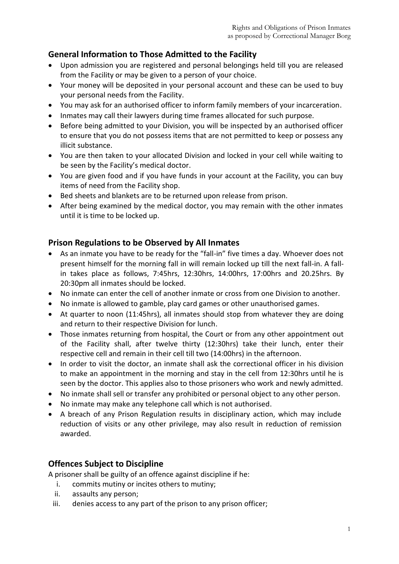# **General Information to Those Admitted to the Facility**

- Upon admission you are registered and personal belongings held till you are released from the Facility or may be given to a person of your choice.
- Your money will be deposited in your personal account and these can be used to buy your personal needs from the Facility.
- You may ask for an authorised officer to inform family members of your incarceration.
- Inmates may call their lawyers during time frames allocated for such purpose.
- Before being admitted to your Division, you will be inspected by an authorised officer to ensure that you do not possess items that are not permitted to keep or possess any illicit substance.
- You are then taken to your allocated Division and locked in your cell while waiting to be seen by the Facility's medical doctor.
- You are given food and if you have funds in your account at the Facility, you can buy items of need from the Facility shop.
- Bed sheets and blankets are to be returned upon release from prison.
- After being examined by the medical doctor, you may remain with the other inmates until it is time to be locked up.

### **Prison Regulations to be Observed by All Inmates**

- As an inmate you have to be ready for the "fall-in" five times a day. Whoever does not present himself for the morning fall in will remain locked up till the next fall-in. A fallin takes place as follows, 7:45hrs, 12:30hrs, 14:00hrs, 17:00hrs and 20.25hrs. By 20:30pm all inmates should be locked.
- No inmate can enter the cell of another inmate or cross from one Division to another.
- No inmate is allowed to gamble, play card games or other unauthorised games.
- At quarter to noon (11:45hrs), all inmates should stop from whatever they are doing and return to their respective Division for lunch.
- Those inmates returning from hospital, the Court or from any other appointment out of the Facility shall, after twelve thirty (12:30hrs) take their lunch, enter their respective cell and remain in their cell till two (14:00hrs) in the afternoon.
- In order to visit the doctor, an inmate shall ask the correctional officer in his division to make an appointment in the morning and stay in the cell from 12:30hrs until he is seen by the doctor. This applies also to those prisoners who work and newly admitted.
- No inmate shall sell or transfer any prohibited or personal object to any other person.
- No inmate may make any telephone call which is not authorised.
- A breach of any Prison Regulation results in disciplinary action, which may include reduction of visits or any other privilege, may also result in reduction of remission awarded.

## **Offences Subject to Discipline**

A prisoner shall be guilty of an offence against discipline if he:

- i. commits mutiny or incites others to mutiny;
- ii. assaults any person;
- iii. denies access to any part of the prison to any prison officer;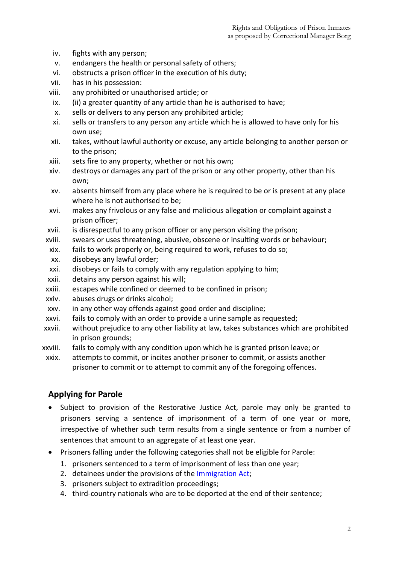- iv. fights with any person;
- v. endangers the health or personal safety of others;
- vi. obstructs a prison officer in the execution of his duty;
- vii. has in his possession:
- viii. any prohibited or unauthorised article; or
- ix. (ii) a greater quantity of any article than he is authorised to have;
- x. sells or delivers to any person any prohibited article;
- xi. sells or transfers to any person any article which he is allowed to have only for his own use;
- xii. takes, without lawful authority or excuse, any article belonging to another person or to the prison;
- xiii. sets fire to any property, whether or not his own;
- xiv. destroys or damages any part of the prison or any other property, other than his own;
- xv. absents himself from any place where he is required to be or is present at any place where he is not authorised to be;
- xvi. makes any frivolous or any false and malicious allegation or complaint against a prison officer;
- xvii. is disrespectful to any prison officer or any person visiting the prison;
- xviii. swears or uses threatening, abusive, obscene or insulting words or behaviour;
- xix. fails to work properly or, being required to work, refuses to do so;
- xx. disobeys any lawful order;
- xxi. disobeys or fails to comply with any regulation applying to him;
- xxii. detains any person against his will;
- xxiii. escapes while confined or deemed to be confined in prison;
- xxiv. abuses drugs or drinks alcohol;
- xxv. in any other way offends against good order and discipline;
- xxvi. fails to comply with an order to provide a urine sample as requested;
- xxvii. without prejudice to any other liability at law, takes substances which are prohibited in prison grounds;
- xxviii. fails to comply with any condition upon which he is granted prison leave; or
- xxix. attempts to commit, or incites another prisoner to commit, or assists another prisoner to commit or to attempt to commit any of the foregoing offences.

#### **Applying for Parole**

- Subject to provision of the Restorative Justice Act, parole may only be granted to prisoners serving a sentence of imprisonment of a term of one year or more, irrespective of whether such term results from a single sentence or from a number of sentences that amount to an aggregate of at least one year.
- Prisoners falling under the following categories shall not be eligible for Parole:
	- 1. prisoners sentenced to a term of imprisonment of less than one year;
	- 2. detainees under the provisions of the Immigration Act;
	- 3. prisoners subject to extradition proceedings;
	- 4. third-country nationals who are to be deported at the end of their sentence;